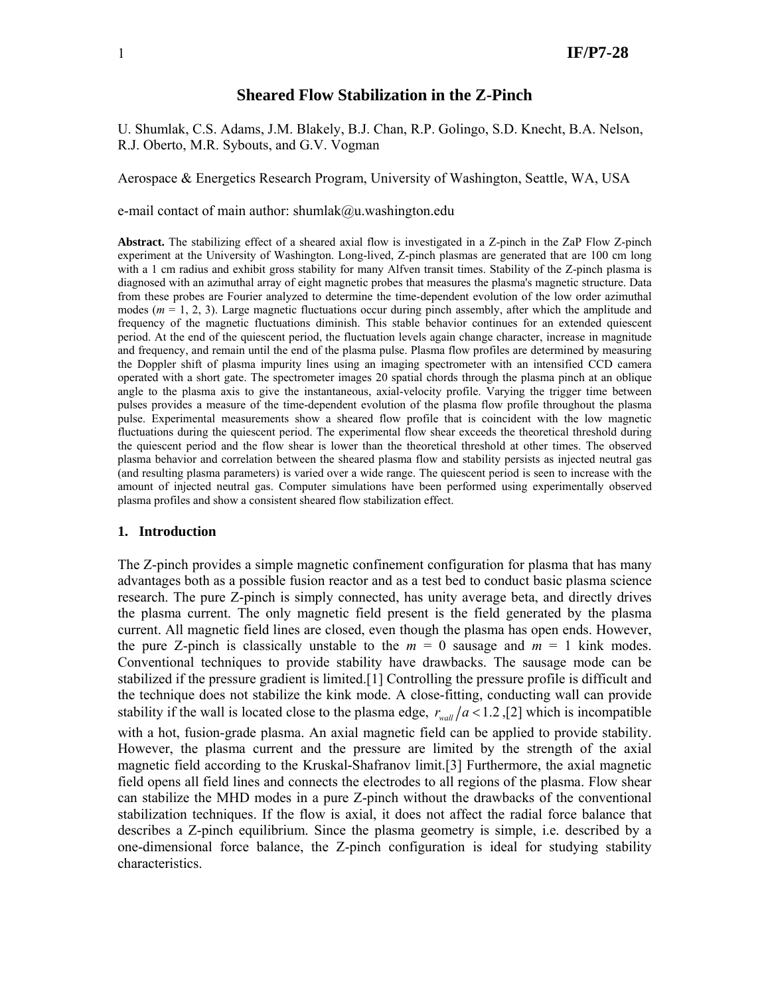### **Sheared Flow Stabilization in the Z-Pinch**

U. Shumlak, C.S. Adams, J.M. Blakely, B.J. Chan, R.P. Golingo, S.D. Knecht, B.A. Nelson, R.J. Oberto, M.R. Sybouts, and G.V. Vogman

Aerospace & Energetics Research Program, University of Washington, Seattle, WA, USA

e-mail contact of main author: shumlak@u.washington.edu

**Abstract.** The stabilizing effect of a sheared axial flow is investigated in a Z-pinch in the ZaP Flow Z-pinch experiment at the University of Washington. Long-lived, Z-pinch plasmas are generated that are 100 cm long with a 1 cm radius and exhibit gross stability for many Alfven transit times. Stability of the Z-pinch plasma is diagnosed with an azimuthal array of eight magnetic probes that measures the plasma's magnetic structure. Data from these probes are Fourier analyzed to determine the time-dependent evolution of the low order azimuthal modes ( $m = 1, 2, 3$ ). Large magnetic fluctuations occur during pinch assembly, after which the amplitude and frequency of the magnetic fluctuations diminish. This stable behavior continues for an extended quiescent period. At the end of the quiescent period, the fluctuation levels again change character, increase in magnitude and frequency, and remain until the end of the plasma pulse. Plasma flow profiles are determined by measuring the Doppler shift of plasma impurity lines using an imaging spectrometer with an intensified CCD camera operated with a short gate. The spectrometer images 20 spatial chords through the plasma pinch at an oblique angle to the plasma axis to give the instantaneous, axial-velocity profile. Varying the trigger time between pulses provides a measure of the time-dependent evolution of the plasma flow profile throughout the plasma pulse. Experimental measurements show a sheared flow profile that is coincident with the low magnetic fluctuations during the quiescent period. The experimental flow shear exceeds the theoretical threshold during the quiescent period and the flow shear is lower than the theoretical threshold at other times. The observed plasma behavior and correlation between the sheared plasma flow and stability persists as injected neutral gas (and resulting plasma parameters) is varied over a wide range. The quiescent period is seen to increase with the amount of injected neutral gas. Computer simulations have been performed using experimentally observed plasma profiles and show a consistent sheared flow stabilization effect.

#### **1. Introduction**

The Z-pinch provides a simple magnetic confinement configuration for plasma that has many advantages both as a possible fusion reactor and as a test bed to conduct basic plasma science research. The pure Z-pinch is simply connected, has unity average beta, and directly drives the plasma current. The only magnetic field present is the field generated by the plasma current. All magnetic field lines are closed, even though the plasma has open ends. However, the pure Z-pinch is classically unstable to the  $m = 0$  sausage and  $m = 1$  kink modes. Conventional techniques to provide stability have drawbacks. The sausage mode can be stabilized if the pressure gradient is limited.[1] Controlling the pressure profile is difficult and the technique does not stabilize the kink mode. A close-fitting, conducting wall can provide stability if the wall is located close to the plasma edge,  $r_{wall}/a < 1.2$ , [2] which is incompatible with a hot, fusion-grade plasma. An axial magnetic field can be applied to provide stability. However, the plasma current and the pressure are limited by the strength of the axial magnetic field according to the Kruskal-Shafranov limit.[3] Furthermore, the axial magnetic field opens all field lines and connects the electrodes to all regions of the plasma. Flow shear can stabilize the MHD modes in a pure Z-pinch without the drawbacks of the conventional stabilization techniques. If the flow is axial, it does not affect the radial force balance that describes a Z-pinch equilibrium. Since the plasma geometry is simple, i.e. described by a one-dimensional force balance, the Z-pinch configuration is ideal for studying stability characteristics.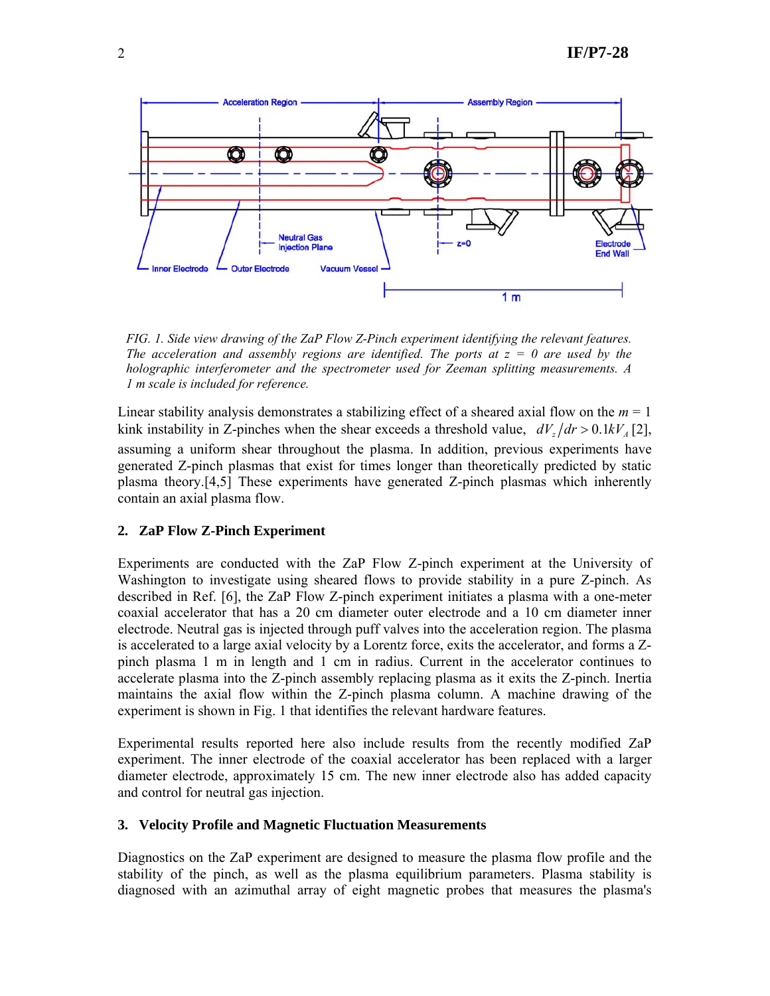

*FIG. 1. Side view drawing of the ZaP Flow Z-Pinch experiment identifying the relevant features. The acceleration and assembly regions are identified. The ports at*  $z = 0$  *are used by the holographic interferometer and the spectrometer used for Zeeman splitting measurements. A 1 m scale is included for reference.* 

Linear stability analysis demonstrates a stabilizing effect of a sheared axial flow on the *m* = 1 kink instability in Z-pinches when the shear exceeds a threshold value,  $dV_x/dr > 0.1 kV_x[2]$ , assuming a uniform shear throughout the plasma. In addition, previous experiments have generated Z-pinch plasmas that exist for times longer than theoretically predicted by static plasma theory.[4,5] These experiments have generated Z-pinch plasmas which inherently contain an axial plasma flow.

# **2. ZaP Flow Z-Pinch Experiment**

Experiments are conducted with the ZaP Flow Z-pinch experiment at the University of Washington to investigate using sheared flows to provide stability in a pure Z-pinch. As described in Ref. [6], the ZaP Flow Z-pinch experiment initiates a plasma with a one-meter coaxial accelerator that has a 20 cm diameter outer electrode and a 10 cm diameter inner electrode. Neutral gas is injected through puff valves into the acceleration region. The plasma is accelerated to a large axial velocity by a Lorentz force, exits the accelerator, and forms a Zpinch plasma 1 m in length and 1 cm in radius. Current in the accelerator continues to accelerate plasma into the Z-pinch assembly replacing plasma as it exits the Z-pinch. Inertia maintains the axial flow within the Z-pinch plasma column. A machine drawing of the experiment is shown in Fig. 1 that identifies the relevant hardware features.

Experimental results reported here also include results from the recently modified ZaP experiment. The inner electrode of the coaxial accelerator has been replaced with a larger diameter electrode, approximately 15 cm. The new inner electrode also has added capacity and control for neutral gas injection.

### **3. Velocity Profile and Magnetic Fluctuation Measurements**

Diagnostics on the ZaP experiment are designed to measure the plasma flow profile and the stability of the pinch, as well as the plasma equilibrium parameters. Plasma stability is diagnosed with an azimuthal array of eight magnetic probes that measures the plasma's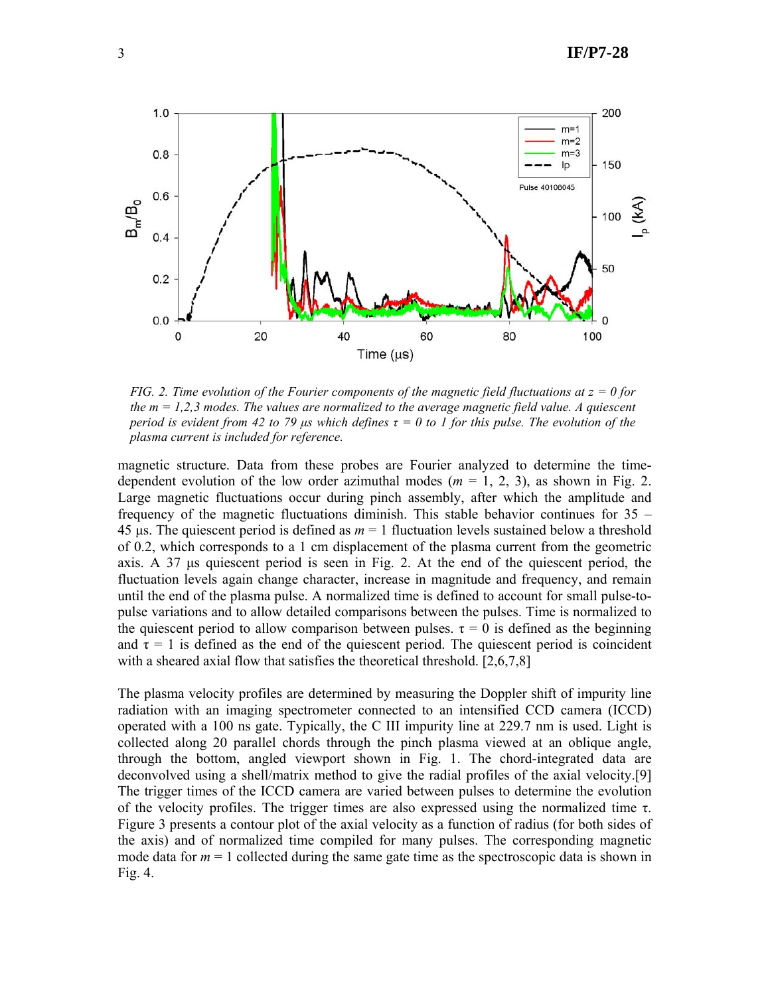

*FIG. 2. Time evolution of the Fourier components of the magnetic field fluctuations at z = 0 for the m = 1,2,3 modes. The values are normalized to the average magnetic field value. A quiescent period is evident from 42 to 79*  $\mu$ *s which defines*  $\tau = 0$  to 1 for this pulse. The evolution of the *plasma current is included for reference.* 

magnetic structure. Data from these probes are Fourier analyzed to determine the timedependent evolution of the low order azimuthal modes ( $m = 1, 2, 3$ ), as shown in Fig. 2. Large magnetic fluctuations occur during pinch assembly, after which the amplitude and frequency of the magnetic fluctuations diminish. This stable behavior continues for  $35 -$ 45 μs. The quiescent period is defined as *m* = 1 fluctuation levels sustained below a threshold of 0.2, which corresponds to a 1 cm displacement of the plasma current from the geometric axis. A 37 μs quiescent period is seen in Fig. 2. At the end of the quiescent period, the fluctuation levels again change character, increase in magnitude and frequency, and remain until the end of the plasma pulse. A normalized time is defined to account for small pulse-topulse variations and to allow detailed comparisons between the pulses. Time is normalized to the quiescent period to allow comparison between pulses.  $\tau = 0$  is defined as the beginning and  $\tau = 1$  is defined as the end of the quiescent period. The quiescent period is coincident with a sheared axial flow that satisfies the theoretical threshold. [2,6,7,8]

The plasma velocity profiles are determined by measuring the Doppler shift of impurity line radiation with an imaging spectrometer connected to an intensified CCD camera (ICCD) operated with a 100 ns gate. Typically, the C III impurity line at 229.7 nm is used. Light is collected along 20 parallel chords through the pinch plasma viewed at an oblique angle, through the bottom, angled viewport shown in Fig. 1. The chord-integrated data are deconvolved using a shell/matrix method to give the radial profiles of the axial velocity.[9] The trigger times of the ICCD camera are varied between pulses to determine the evolution of the velocity profiles. The trigger times are also expressed using the normalized time τ. Figure 3 presents a contour plot of the axial velocity as a function of radius (for both sides of the axis) and of normalized time compiled for many pulses. The corresponding magnetic mode data for  $m = 1$  collected during the same gate time as the spectroscopic data is shown in Fig. 4.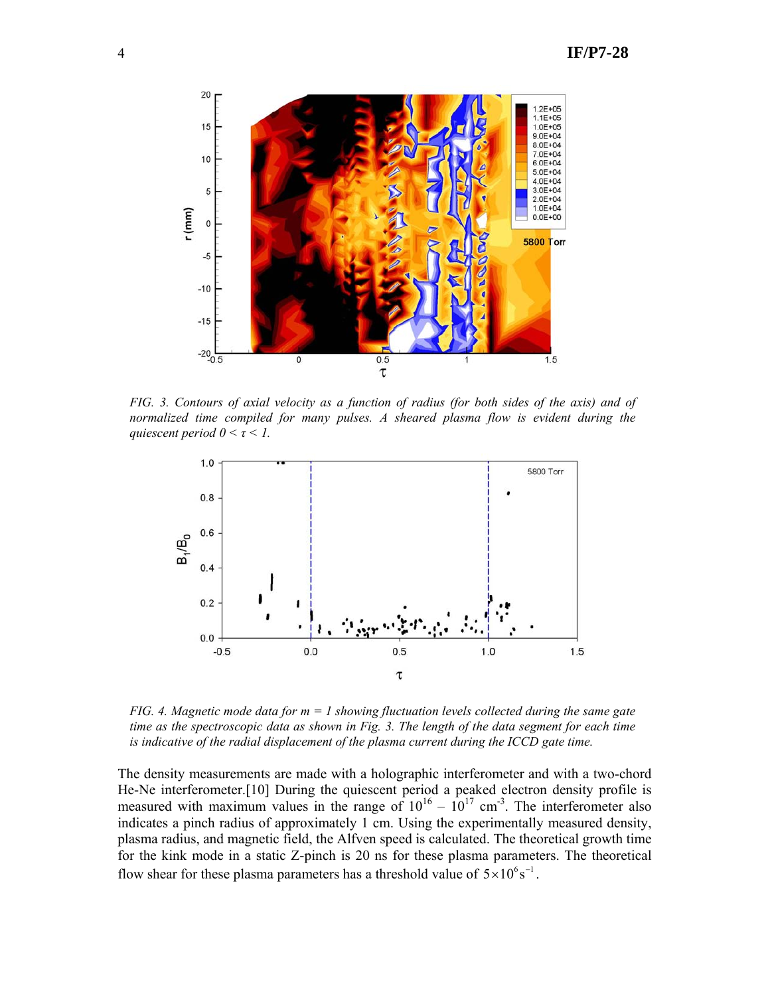

*FIG. 3. Contours of axial velocity as a function of radius (for both sides of the axis) and of normalized time compiled for many pulses. A sheared plasma flow is evident during the quiescent period*  $0 < \tau < 1$ .



*FIG. 4. Magnetic mode data for m = 1 showing fluctuation levels collected during the same gate time as the spectroscopic data as shown in Fig. 3. The length of the data segment for each time is indicative of the radial displacement of the plasma current during the ICCD gate time.* 

The density measurements are made with a holographic interferometer and with a two-chord He-Ne interferometer.[10] During the quiescent period a peaked electron density profile is measured with maximum values in the range of  $10^{16} - 10^{17}$  cm<sup>-3</sup>. The interferometer also indicates a pinch radius of approximately 1 cm. Using the experimentally measured density, plasma radius, and magnetic field, the Alfven speed is calculated. The theoretical growth time for the kink mode in a static Z-pinch is 20 ns for these plasma parameters. The theoretical flow shear for these plasma parameters has a threshold value of  $5 \times 10^6$  s<sup>−1</sup>.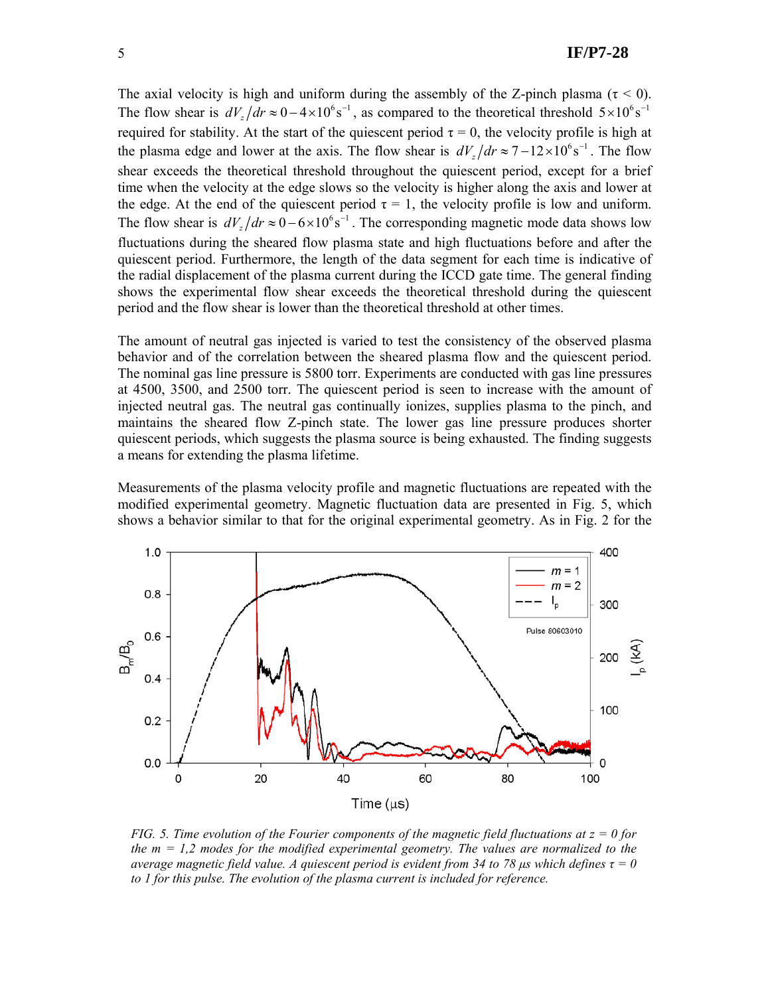The axial velocity is high and uniform during the assembly of the Z-pinch plasma ( $\tau$  < 0). The flow shear is  $dV_z/dr \approx 0 - 4 \times 10^6$  s<sup>-1</sup>, as compared to the theoretical threshold  $5 \times 10^6$  s<sup>-1</sup> required for stability. At the start of the quiescent period  $\tau = 0$ , the velocity profile is high at the plasma edge and lower at the axis. The flow shear is  $dV_z/dr \approx 7 - 12 \times 10^6$  s<sup>-1</sup>. The flow shear exceeds the theoretical threshold throughout the quiescent period, except for a brief time when the velocity at the edge slows so the velocity is higher along the axis and lower at the edge. At the end of the quiescent period  $\tau = 1$ , the velocity profile is low and uniform. The flow shear is  $dV_x/dr \approx 0 - 6 \times 10^6$  s<sup>-1</sup>. The corresponding magnetic mode data shows low fluctuations during the sheared flow plasma state and high fluctuations before and after the quiescent period. Furthermore, the length of the data segment for each time is indicative of the radial displacement of the plasma current during the ICCD gate time. The general finding shows the experimental flow shear exceeds the theoretical threshold during the quiescent period and the flow shear is lower than the theoretical threshold at other times.

The amount of neutral gas injected is varied to test the consistency of the observed plasma behavior and of the correlation between the sheared plasma flow and the quiescent period. The nominal gas line pressure is 5800 torr. Experiments are conducted with gas line pressures at 4500, 3500, and 2500 torr. The quiescent period is seen to increase with the amount of injected neutral gas. The neutral gas continually ionizes, supplies plasma to the pinch, and maintains the sheared flow Z-pinch state. The lower gas line pressure produces shorter quiescent periods, which suggests the plasma source is being exhausted. The finding suggests a means for extending the plasma lifetime.

Measurements of the plasma velocity profile and magnetic fluctuations are repeated with the modified experimental geometry. Magnetic fluctuation data are presented in Fig. 5, which shows a behavior similar to that for the original experimental geometry. As in Fig. 2 for the



*FIG. 5. Time evolution of the Fourier components of the magnetic field fluctuations at z = 0 for the m = 1,2 modes for the modified experimental geometry. The values are normalized to the average magnetic field value. A quiescent period is evident from 34 to 78*  $\mu$ *s which defines*  $\tau = 0$ *to 1 for this pulse. The evolution of the plasma current is included for reference.*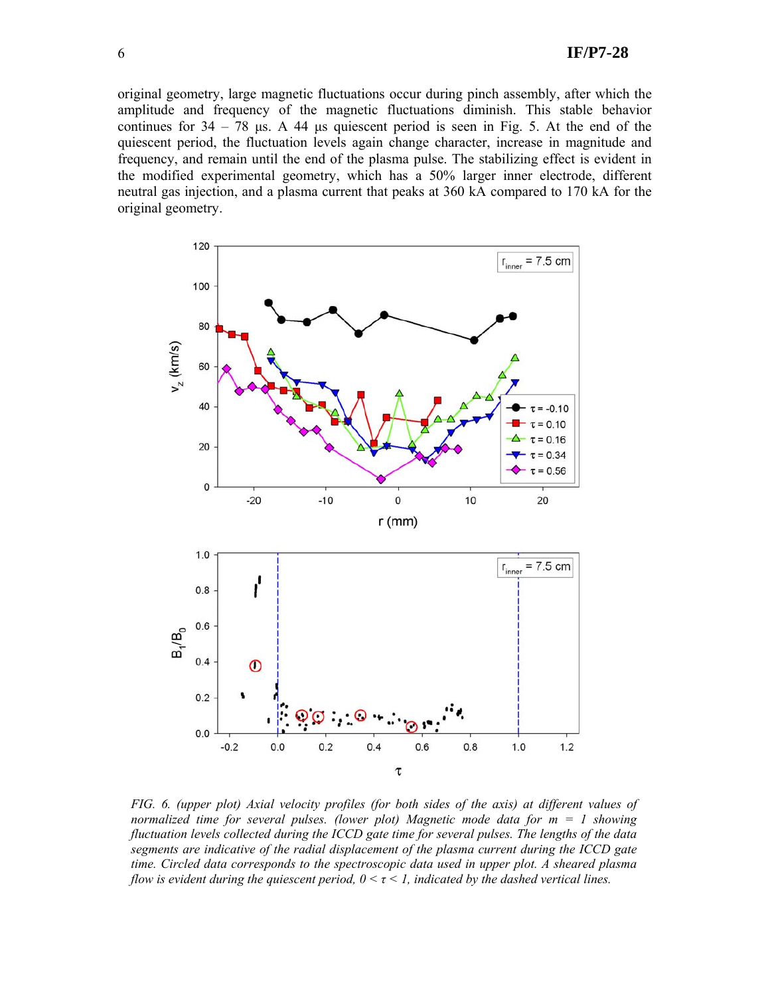original geometry, large magnetic fluctuations occur during pinch assembly, after which the amplitude and frequency of the magnetic fluctuations diminish. This stable behavior continues for  $34 - 78$  μs. A 44 μs quiescent period is seen in Fig. 5. At the end of the quiescent period, the fluctuation levels again change character, increase in magnitude and frequency, and remain until the end of the plasma pulse. The stabilizing effect is evident in the modified experimental geometry, which has a 50% larger inner electrode, different neutral gas injection, and a plasma current that peaks at 360 kA compared to 170 kA for the original geometry.



*FIG. 6. (upper plot) Axial velocity profiles (for both sides of the axis) at different values of normalized time for several pulses. (lower plot) Magnetic mode data for m = 1 showing fluctuation levels collected during the ICCD gate time for several pulses. The lengths of the data segments are indicative of the radial displacement of the plasma current during the ICCD gate time. Circled data corresponds to the spectroscopic data used in upper plot. A sheared plasma flow is evident during the quiescent period,*  $0 < \tau < 1$ *, indicated by the dashed vertical lines.*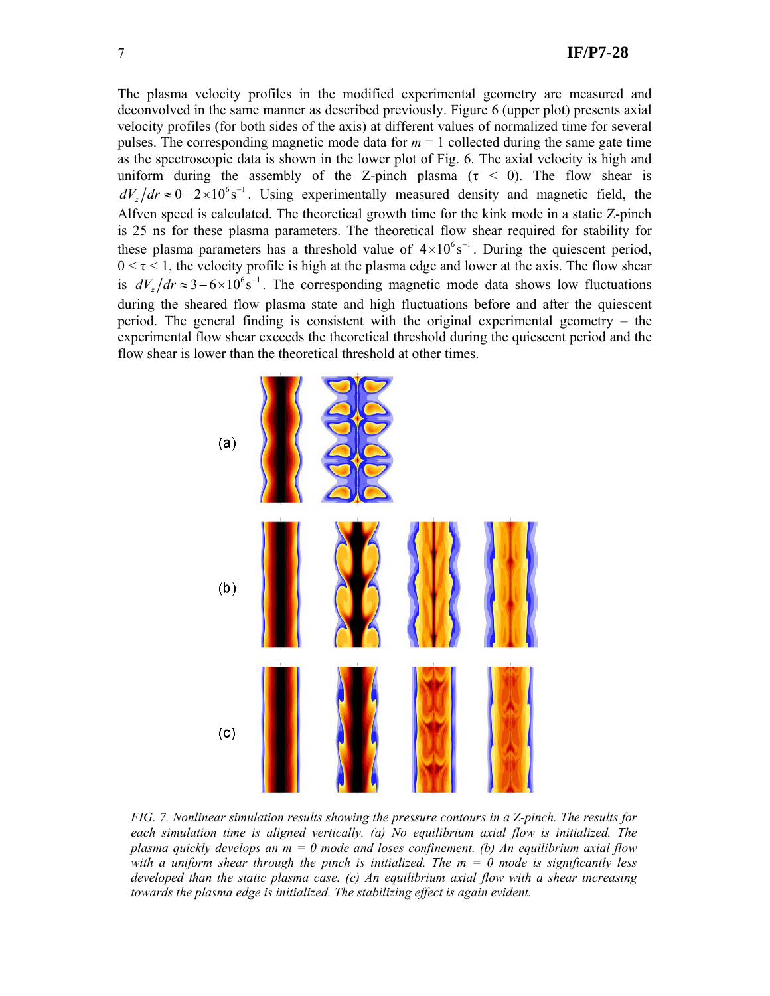The plasma velocity profiles in the modified experimental geometry are measured and deconvolved in the same manner as described previously. Figure 6 (upper plot) presents axial velocity profiles (for both sides of the axis) at different values of normalized time for several pulses. The corresponding magnetic mode data for  $m = 1$  collected during the same gate time as the spectroscopic data is shown in the lower plot of Fig. 6. The axial velocity is high and uniform during the assembly of the Z-pinch plasma ( $\tau$  < 0). The flow shear is  $dV_z/dr \approx 0-2\times10^6 s^{-1}$ . Using experimentally measured density and magnetic field, the Alfven speed is calculated. The theoretical growth time for the kink mode in a static Z-pinch is 25 ns for these plasma parameters. The theoretical flow shear required for stability for these plasma parameters has a threshold value of  $4 \times 10^{6}$  s<sup>−1</sup>. During the quiescent period,  $0 \le \tau \le 1$ , the velocity profile is high at the plasma edge and lower at the axis. The flow shear is  $dV_x/dr \approx 3 - 6 \times 10^6$  s<sup>-1</sup>. The corresponding magnetic mode data shows low fluctuations during the sheared flow plasma state and high fluctuations before and after the quiescent period. The general finding is consistent with the original experimental geometry – the experimental flow shear exceeds the theoretical threshold during the quiescent period and the flow shear is lower than the theoretical threshold at other times.



*FIG. 7. Nonlinear simulation results showing the pressure contours in a Z-pinch. The results for each simulation time is aligned vertically. (a) No equilibrium axial flow is initialized. The plasma quickly develops an m = 0 mode and loses confinement. (b) An equilibrium axial flow with a uniform shear through the pinch is initialized. The m = 0 mode is significantly less developed than the static plasma case. (c) An equilibrium axial flow with a shear increasing*  towards the plasma edge is initialized. The stabilizing effect is again evident.